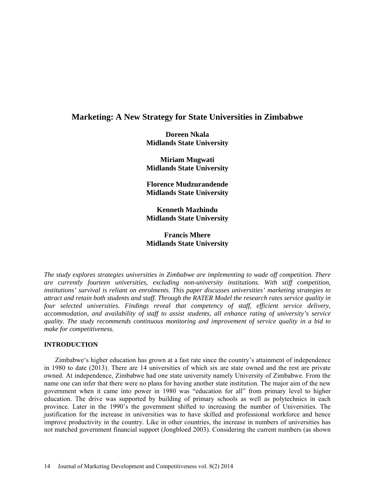# **Marketing: A New Strategy for State Universities in Zimbabwe**

**Doreen Nkala Midlands State University**

**Miriam Mugwati Midlands State University**

**Florence Mudzurandende Midlands State University**

**Kenneth Mazhindu Midlands State University**

# **Francis Mhere Midlands State University**

*The study explores strategies universities in Zimbabwe are implementing to wade off competition. There are currently fourteen universities, excluding non-university institutions. With stiff competition, institutions' survival is reliant on enrolments. This paper discusses universities' marketing strategies to attract and retain both students and staff. Through the RATER Model the research rates service quality in four selected universities. Findings reveal that competency of staff, efficient service delivery, accommodation, and availability of staff to assist students, all enhance rating of university's service quality. The study recommends continuous monitoring and improvement of service quality in a bid to make for competitiveness.* 

# **INTRODUCTION**

Zimbabwe's higher education has grown at a fast rate since the country's attainment of independence in 1980 to date (2013). There are 14 universities of which six are state owned and the rest are private owned. At independence, Zimbabwe had one state university namely University of Zimbabwe. From the name one can infer that there were no plans for having another state institution. The major aim of the new government when it came into power in 1980 was "education for all" from primary level to higher education. The drive was supported by building of primary schools as well as polytechnics in each province. Later in the 1990's the government shifted to increasing the number of Universities. The justification for the increase in universities was to have skilled and professional workforce and hence improve productivity in the country. Like in other countries, the increase in numbers of universities has not matched government financial support (Jongbloed 2003). Considering the current numbers (as shown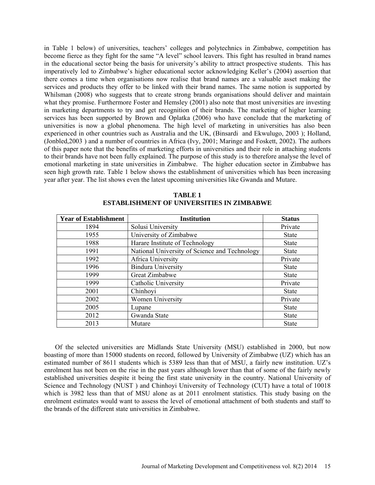in Table 1 below) of universities, teachers' colleges and polytechnics in Zimbabwe, competition has become fierce as they fight for the same "A level" school leavers. This fight has resulted in brand names in the educational sector being the basis for university's ability to attract prospective students. This has imperatively led to Zimbabwe's higher educational sector acknowledging Keller's (2004) assertion that there comes a time when organisations now realise that brand names are a valuable asset making the services and products they offer to be linked with their brand names. The same notion is supported by Whilsman (2008) who suggests that to create strong brands organisations should deliver and maintain what they promise. Furthermore Foster and Hemsley (2001) also note that most universities are investing in marketing departments to try and get recognition of their brands. The marketing of higher learning services has been supported by Brown and Oplatka (2006) who have conclude that the marketing of universities is now a global phenomena. The high level of marketing in universities has also been experienced in other countries such as Australia and the UK, (Binsardi and Ekwulugo, 2003 ); Holland, (Jonbled,2003 ) and a number of countries in Africa (Ivy, 2001; Maringe and Foskett, 2002). The authors of this paper note that the benefits of marketing efforts in universities and their role in attaching students to their brands have not been fully explained. The purpose of this study is to therefore analyse the level of emotional marketing in state universities in Zimbabwe. The higher education sector in Zimbabwe has seen high growth rate. Table 1 below shows the establishment of universities which has been increasing year after year. The list shows even the latest upcoming universities like Gwanda and Mutare.

| <b>Year of Establishment</b> | <b>Institution</b>                            | <b>Status</b> |
|------------------------------|-----------------------------------------------|---------------|
| 1894                         | Solusi University                             | Private       |
| 1955                         | University of Zimbabwe                        | <b>State</b>  |
| 1988                         | Harare Institute of Technology                | <b>State</b>  |
| 1991                         | National University of Science and Technology | <b>State</b>  |
| 1992                         | Africa University                             | Private       |
| 1996                         | <b>Bindura University</b>                     | <b>State</b>  |
| 1999                         | Great Zimbabwe                                | <b>State</b>  |
| 1999                         | Catholic University                           | Private       |
| 2001                         | Chinhoyi                                      | <b>State</b>  |
| 2002                         | <b>Women University</b>                       | Private       |
| 2005                         | Lupane                                        | <b>State</b>  |
| 2012                         | Gwanda State                                  | <b>State</b>  |
| 2013                         | Mutare                                        | <b>State</b>  |

**TABLE 1 ESTABLISHMENT OF UNIVERSITIES IN ZIMBABWE**

Of the selected universities are Midlands State University (MSU) established in 2000, but now boasting of more than 15000 students on record, followed by University of Zimbabwe (UZ) which has an estimated number of 8611 students which is 5389 less than that of MSU, a fairly new institution. UZ's enrolment has not been on the rise in the past years although lower than that of some of the fairly newly established universities despite it being the first state university in the country. National University of Science and Technology (NUST ) and Chinhoyi University of Technology (CUT) have a total of 10018 which is 3982 less than that of MSU alone as at 2011 enrolment statistics. This study basing on the enrolment estimates would want to assess the level of emotional attachment of both students and staff to the brands of the different state universities in Zimbabwe.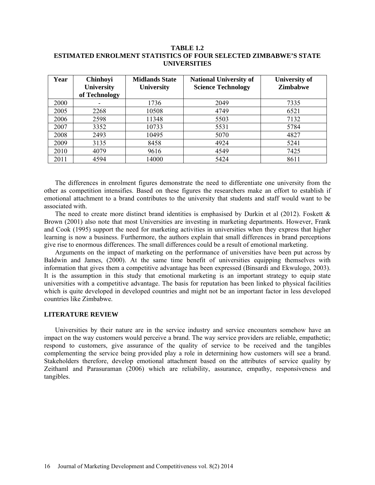### **TABLE 1.2 ESTIMATED ENROLMENT STATISTICS OF FOUR SELECTED ZIMBABWE'S STATE UNIVERSITIES**

| Year        | <b>Chinhoyi</b><br><b>University</b> | <b>Midlands State</b><br><b>University</b> | <b>National University of</b><br><b>Science Technology</b> | <b>University of</b><br><b>Zimbabwe</b> |
|-------------|--------------------------------------|--------------------------------------------|------------------------------------------------------------|-----------------------------------------|
|             | of Technology                        |                                            |                                                            |                                         |
| <b>2000</b> |                                      | 1736                                       | 2049                                                       | 7335                                    |
| 2005        | 2268                                 | 10508                                      | 4749                                                       | 6521                                    |
| 2006        | 2598                                 | 11348                                      | 5503                                                       | 7132                                    |
| 2007        | 3352                                 | 10733                                      | 5531                                                       | 5784                                    |
| 2008        | 2493                                 | 10495                                      | 5070                                                       | 4827                                    |
| 2009        | 3135                                 | 8458                                       | 4924                                                       | 5241                                    |
| 2010        | 4079                                 | 9616                                       | 4549                                                       | 7425                                    |
| 2011        | 4594                                 | 14000                                      | 5424                                                       | 8611                                    |

The differences in enrolment figures demonstrate the need to differentiate one university from the other as competition intensifies. Based on these figures the researchers make an effort to establish if emotional attachment to a brand contributes to the university that students and staff would want to be associated with.

The need to create more distinct brand identities is emphasised by Durkin et al  $(2012)$ . Foskett  $\&$ Brown (2001) also note that most Universities are investing in marketing departments. However, Frank and Cook (1995) support the need for marketing activities in universities when they express that higher learning is now a business. Furthermore, the authors explain that small differences in brand perceptions give rise to enormous differences. The small differences could be a result of emotional marketing.

Arguments on the impact of marketing on the performance of universities have been put across by Baldwin and James, (2000). At the same time benefit of universities equipping themselves with information that gives them a competitive advantage has been expressed (Binsardi and Ekwulogo, 2003). It is the assumption in this study that emotional marketing is an important strategy to equip state universities with a competitive advantage. The basis for reputation has been linked to physical facilities which is quite developed in developed countries and might not be an important factor in less developed countries like Zimbabwe.

### **LITERATURE REVIEW**

Universities by their nature are in the service industry and service encounters somehow have an impact on the way customers would perceive a brand. The way service providers are reliable, empathetic; respond to customers, give assurance of the quality of service to be received and the tangibles complementing the service being provided play a role in determining how customers will see a brand. Stakeholders therefore, develop emotional attachment based on the attributes of service quality by Zeithaml and Parasuraman (2006) which are reliability, assurance, empathy, responsiveness and tangibles.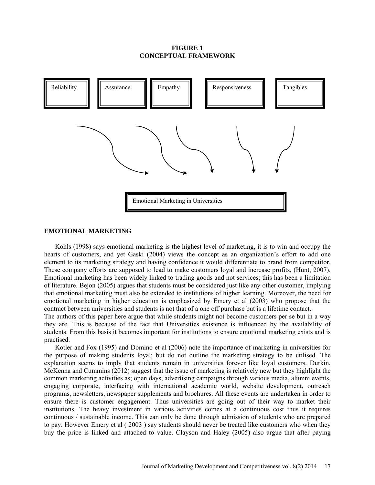### **FIGURE 1 CONCEPTUAL FRAMEWORK**



#### **EMOTIONAL MARKETING**

Kohls (1998) says emotional marketing is the highest level of marketing, it is to win and occupy the hearts of customers, and yet Gaski (2004) views the concept as an organization's effort to add one element to its marketing strategy and having confidence it would differentiate to brand from competitor. These company efforts are supposed to lead to make customers loyal and increase profits, (Hunt, 2007). Emotional marketing has been widely linked to trading goods and not services; this has been a limitation of literature. Bejon (2005) argues that students must be considered just like any other customer, implying that emotional marketing must also be extended to institutions of higher learning. Moreover, the need for emotional marketing in higher education is emphasized by Emery et al (2003) who propose that the contract between universities and students is not that of a one off purchase but is a lifetime contact.

The authors of this paper here argue that while students might not become customers per se but in a way they are. This is because of the fact that Universities existence is influenced by the availability of students. From this basis it becomes important for institutions to ensure emotional marketing exists and is practised.

Kotler and Fox (1995) and Domino et al (2006) note the importance of marketing in universities for the purpose of making students loyal; but do not outline the marketing strategy to be utilised. The explanation seems to imply that students remain in universities forever like loyal customers. Durkin, McKenna and Cummins (2012) suggest that the issue of marketing is relatively new but they highlight the common marketing activities as; open days, advertising campaigns through various media, alumni events, engaging corporate, interfacing with international academic world, website development, outreach programs, newsletters, newspaper supplements and brochures. All these events are undertaken in order to ensure there is customer engagement. Thus universities are going out of their way to market their institutions. The heavy investment in various activities comes at a continuous cost thus it requires continuous / sustainable income. This can only be done through admission of students who are prepared to pay. However Emery et al ( 2003 ) say students should never be treated like customers who when they buy the price is linked and attached to value. Clayson and Haley (2005) also argue that after paying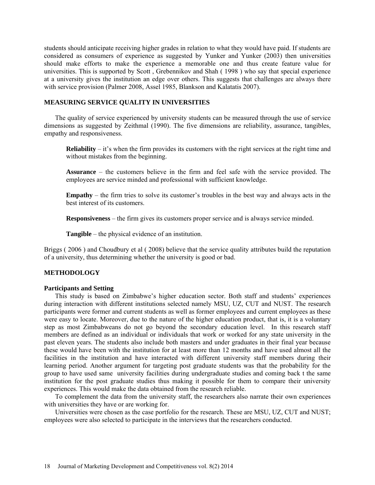students should anticipate receiving higher grades in relation to what they would have paid. If students are considered as consumers of experience as suggested by Yunker and Yunker (2003) then universities should make efforts to make the experience a memorable one and thus create feature value for universities. This is supported by Scott , Grebennikov and Shah ( 1998 ) who say that special experience at a university gives the institution an edge over others. This suggests that challenges are always there with service provision (Palmer 2008, Assel 1985, Blankson and Kalatatis 2007).

# **MEASURING SERVICE QUALITY IN UNIVERSITIES**

The quality of service experienced by university students can be measured through the use of service dimensions as suggested by Zeithmal (1990). The five dimensions are reliability, assurance, tangibles, empathy and responsiveness.

**Reliability** – it's when the firm provides its customers with the right services at the right time and without mistakes from the beginning.

**Assurance** – the customers believe in the firm and feel safe with the service provided. The employees are service minded and professional with sufficient knowledge.

**Empathy** – the firm tries to solve its customer's troubles in the best way and always acts in the best interest of its customers.

**Responsiveness** – the firm gives its customers proper service and is always service minded.

**Tangible** – the physical evidence of an institution.

Briggs ( 2006 ) and Choudbury et al ( 2008) believe that the service quality attributes build the reputation of a university, thus determining whether the university is good or bad.

#### **METHODOLOGY**

#### **Participants and Setting**

This study is based on Zimbabwe's higher education sector. Both staff and students' experiences during interaction with different institutions selected namely MSU, UZ, CUT and NUST. The research participants were former and current students as well as former employees and current employees as these were easy to locate. Moreover, due to the nature of the higher education product, that is, it is a voluntary step as most Zimbabweans do not go beyond the secondary education level. In this research staff members are defined as an individual or individuals that work or worked for any state university in the past eleven years. The students also include both masters and under graduates in their final year because these would have been with the institution for at least more than 12 months and have used almost all the facilities in the institution and have interacted with different university staff members during their learning period. Another argument for targeting post graduate students was that the probability for the group to have used same university facilities during undergraduate studies and coming back t the same institution for the post graduate studies thus making it possible for them to compare their university experiences. This would make the data obtained from the research reliable.

To complement the data from the university staff, the researchers also narrate their own experiences with universities they have or are working for.

Universities were chosen as the case portfolio for the research. These are MSU, UZ, CUT and NUST; employees were also selected to participate in the interviews that the researchers conducted.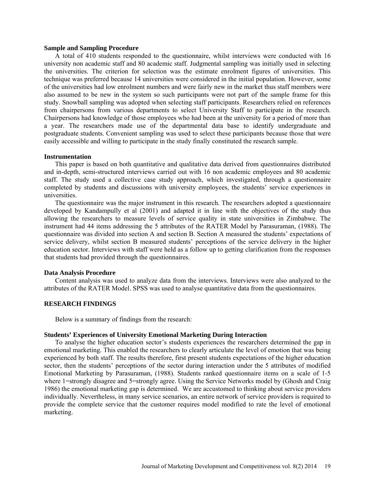#### **Sample and Sampling Procedure**

A total of 410 students responded to the questionnaire, whilst interviews were conducted with 16 university non academic staff and 80 academic staff. Judgmental sampling was initially used in selecting the universities. The criterion for selection was the estimate enrolment figures of universities. This technique was preferred because 14 universities were considered in the initial population. However, some of the universities had low enrolment numbers and were fairly new in the market thus staff members were also assumed to be new in the system so such participants were not part of the sample frame for this study. Snowball sampling was adopted when selecting staff participants. Researchers relied on references from chairpersons from various departments to select University Staff to participate in the research. Chairpersons had knowledge of those employees who had been at the university for a period of more than a year. The researchers made use of the departmental data base to identify undergraduate and postgraduate students. Convenient sampling was used to select these participants because those that were easily accessible and willing to participate in the study finally constituted the research sample.

#### **Instrumentation**

This paper is based on both quantitative and qualitative data derived from questionnaires distributed and in-depth, semi-structured interviews carried out with 16 non academic employees and 80 academic staff. The study used a collective case study approach, which investigated, through a questionnaire completed by students and discussions with university employees, the students' service experiences in universities.

The questionnaire was the major instrument in this research. The researchers adopted a questionnaire developed by Kandampully et al (2001) and adapted it in line with the objectives of the study thus allowing the researchers to measure levels of service quality in state universities in Zimbabwe. The instrument had 44 items addressing the 5 attributes of the RATER Model by Parasuraman, (1988). The questionnaire was divided into section A and section B. Section A measured the students' expectations of service delivery, whilst section B measured students' perceptions of the service delivery in the higher education sector. Interviews with staff were held as a follow up to getting clarification from the responses that students had provided through the questionnaires.

#### **Data Analysis Procedure**

Content analysis was used to analyze data from the interviews. Interviews were also analyzed to the attributes of the RATER Model. SPSS was used to analyse quantitative data from the questionnaires.

# **RESEARCH FINDINGS**

Below is a summary of findings from the research:

#### **Students' Experiences of University Emotional Marketing During Interaction**

To analyse the higher education sector's students experiences the researchers determined the gap in emotional marketing. This enabled the researchers to clearly articulate the level of emotion that was being experienced by both staff. The results therefore, first present students expectations of the higher education sector, then the students' perceptions of the sector during interaction under the 5 attributes of modified Emotional Marketing by Parasuraman, (1988). Students ranked questionnaire items on a scale of 1-5 where 1=strongly disagree and 5=strongly agree. Using the Service Networks model by (Ghosh and Craig 1986) the emotional marketing gap is determined. We are accustomed to thinking about service providers individually. Nevertheless, in many service scenarios, an entire network of service providers is required to provide the complete service that the customer requires model modified to rate the level of emotional marketing.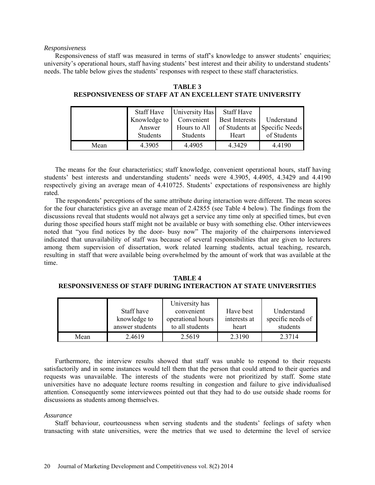#### *Responsiveness*

Responsiveness of staff was measured in terms of staff's knowledge to answer students' enquiries; university's operational hours, staff having students' best interest and their ability to understand students' needs. The table below gives the students' responses with respect to these staff characteristics.

|      | <b>Staff Have</b> | University Has | <b>Staff Have</b>     |                               |
|------|-------------------|----------------|-----------------------|-------------------------------|
|      | Knowledge to      | Convenient     | <b>Best Interests</b> | Understand                    |
|      | Answer            | Hours to All   |                       | of Students at Specific Needs |
|      | <b>Students</b>   | Students       | Heart                 | of Students                   |
| Mean | 4.3905            | 4.4905         | 4.3429                | 4.4190                        |

**TABLE 3 RESPONSIVENESS OF STAFF AT AN EXCELLENT STATE UNIVERSITY**

The means for the four characteristics; staff knowledge, convenient operational hours, staff having students' best interests and understanding students' needs were 4.3905, 4.4905, 4.3429 and 4.4190 respectively giving an average mean of 4.410725. Students' expectations of responsiveness are highly rated.

The respondents' perceptions of the same attribute during interaction were different. The mean scores for the four characteristics give an average mean of 2.42855 (see Table 4 below). The findings from the discussions reveal that students would not always get a service any time only at specified times, but even during those specified hours staff might not be available or busy with something else. Other interviewees noted that "you find notices by the door- busy now" The majority of the chairpersons interviewed indicated that unavailability of staff was because of several responsibilities that are given to lecturers among them supervision of dissertation, work related learning students, actual teaching, research, resulting in staff that were available being overwhelmed by the amount of work that was available at the time.

**TABLE 4 RESPONSIVENESS OF STAFF DURING INTERACTION AT STATE UNIVERSITIES**

|      | Staff have<br>knowledge to<br>answer students | University has<br>convenient<br>operational hours<br>to all students | Have best<br>interests at<br>heart | Understand<br>specific needs of<br>students |
|------|-----------------------------------------------|----------------------------------------------------------------------|------------------------------------|---------------------------------------------|
| Mean | 2.4619                                        | 2.5619                                                               | 2.3190                             | 2.3714                                      |

Furthermore, the interview results showed that staff was unable to respond to their requests satisfactorily and in some instances would tell them that the person that could attend to their queries and requests was unavailable. The interests of the students were not prioritized by staff. Some state universities have no adequate lecture rooms resulting in congestion and failure to give individualised attention. Consequently some interviewees pointed out that they had to do use outside shade rooms for discussions as students among themselves.

### *Assurance*

Staff behaviour, courteousness when serving students and the students' feelings of safety when transacting with state universities, were the metrics that we used to determine the level of service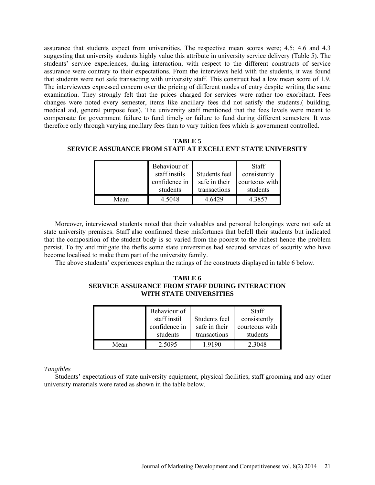assurance that students expect from universities. The respective mean scores were; 4.5; 4.6 and 4.3 suggesting that university students highly value this attribute in university service delivery (Table 5). The students' service experiences, during interaction, with respect to the different constructs of service assurance were contrary to their expectations. From the interviews held with the students, it was found that students were not safe transacting with university staff. This construct had a low mean score of 1.9. The interviewees expressed concern over the pricing of different modes of entry despite writing the same examination. They strongly felt that the prices charged for services were rather too exorbitant. Fees changes were noted every semester, items like ancillary fees did not satisfy the students.( building, medical aid, general purpose fees). The university staff mentioned that the fees levels were meant to compensate for government failure to fund timely or failure to fund during different semesters. It was therefore only through varying ancillary fees than to vary tuition fees which is government controlled.

**TABLE 5 SERVICE ASSURANCE FROM STAFF AT EXCELLENT STATE UNIVERSITY**

|      | Behaviour of  |               | <b>Staff</b>   |
|------|---------------|---------------|----------------|
|      | staff instils | Students feel | consistently   |
|      | confidence in | safe in their | courteous with |
|      | students      | transactions  | students       |
| Mean | 4.5048        | 4 6429        | 4.3857         |

Moreover, interviewed students noted that their valuables and personal belongings were not safe at state university premises. Staff also confirmed these misfortunes that befell their students but indicated that the composition of the student body is so varied from the poorest to the richest hence the problem persist. To try and mitigate the thefts some state universities had secured services of security who have become localised to make them part of the university family.

The above students' experiences explain the ratings of the constructs displayed in table 6 below.

# **TABLE 6 SERVICE ASSURANCE FROM STAFF DURING INTERACTION WITH STATE UNIVERSITIES**

|      | Behaviour of  |               | <b>Staff</b>   |
|------|---------------|---------------|----------------|
|      | staff instil  | Students feel | consistently   |
|      | confidence in | safe in their | courteous with |
|      | students      | transactions  | students       |
| Mean | 2.5095        | 1 9190        | 2.3048         |

### *Tangibles*

Students' expectations of state university equipment, physical facilities, staff grooming and any other university materials were rated as shown in the table below.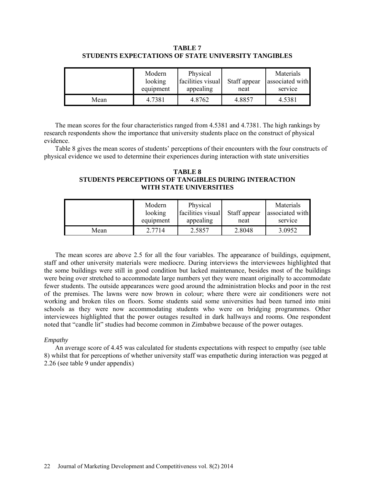# **TABLE 7 STUDENTS EXPECTATIONS OF STATE UNIVERSITY TANGIBLES**

|      | Modern<br>looking<br>equipment | Physical<br>facilities visual<br>appealing | Staff appear<br>neat | Materials<br>associated with<br>service |
|------|--------------------------------|--------------------------------------------|----------------------|-----------------------------------------|
| Mean | 4.7381                         | 4.8762                                     | 4.8857               | 4.5381                                  |

The mean scores for the four characteristics ranged from 4.5381 and 4.7381. The high rankings by research respondents show the importance that university students place on the construct of physical evidence.

Table 8 gives the mean scores of students' perceptions of their encounters with the four constructs of physical evidence we used to determine their experiences during interaction with state universities

# **TABLE 8 STUDENTS PERCEPTIONS OF TANGIBLES DURING INTERACTION WITH STATE UNIVERSITIES**

|      | Modern<br>looking<br>equipment | Physical<br>facilities visual<br>appealing | Staff appear<br>neat | Materials<br>associated with<br>service |
|------|--------------------------------|--------------------------------------------|----------------------|-----------------------------------------|
|      |                                |                                            |                      |                                         |
| Mean | 2.7714                         | 2.5857                                     | 2.8048               | 3.0952                                  |

The mean scores are above 2.5 for all the four variables. The appearance of buildings, equipment, staff and other university materials were mediocre. During interviews the interviewees highlighted that the some buildings were still in good condition but lacked maintenance, besides most of the buildings were being over stretched to accommodate large numbers yet they were meant originally to accommodate fewer students. The outside appearances were good around the administration blocks and poor in the rest of the premises. The lawns were now brown in colour; where there were air conditioners were not working and broken tiles on floors. Some students said some universities had been turned into mini schools as they were now accommodating students who were on bridging programmes. Other interviewees highlighted that the power outages resulted in dark hallways and rooms. One respondent noted that "candle lit" studies had become common in Zimbabwe because of the power outages.

# *Empathy*

An average score of 4.45 was calculated for students expectations with respect to empathy (see table 8) whilst that for perceptions of whether university staff was empathetic during interaction was pegged at 2.26 (see table 9 under appendix)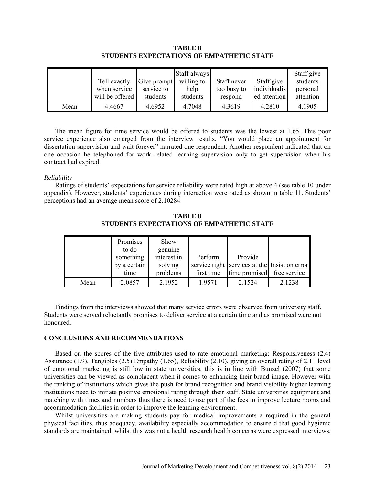|      | Tell exactly<br>when service<br>will be offered | Give prompt<br>service to<br>students | Staff always<br>willing to<br>help<br>students | Staff never<br>too busy to<br>respond | Staff give<br>individualis<br>ed attention | Staff give<br>students<br>personal<br>attention |
|------|-------------------------------------------------|---------------------------------------|------------------------------------------------|---------------------------------------|--------------------------------------------|-------------------------------------------------|
| Mean | 4.4667                                          | 4.6952                                | 4.7048                                         | 4.3619                                | 4.2810                                     | 4.1905                                          |

**TABLE 8 STUDENTS EXPECTATIONS OF EMPATHETIC STAFF**

The mean figure for time service would be offered to students was the lowest at 1.65. This poor service experience also emerged from the interview results. "You would place an appointment for dissertation supervision and wait forever" narrated one respondent. Another respondent indicated that on one occasion he telephoned for work related learning supervision only to get supervision when his contract had expired.

### *Reliability*

Ratings of students' expectations for service reliability were rated high at above 4 (see table 10 under appendix). However, students' experiences during interaction were rated as shown in table 11. Students' perceptions had an average mean score of 2.10284

|      | Promises<br>to do | Show<br>genuine |            |                                               |        |
|------|-------------------|-----------------|------------|-----------------------------------------------|--------|
|      | something         | interest in     | Perform    | Provide                                       |        |
|      | by a certain      | solving         |            | service right services at the Insist on error |        |
|      | time              | problems        | first time | time promised free service                    |        |
| Mean | 2.0857            | 2.1952          | 1.9571     | 2.1524                                        | 2.1238 |

**TABLE 8 STUDENTS EXPECTATIONS OF EMPATHETIC STAFF**

Findings from the interviews showed that many service errors were observed from university staff. Students were served reluctantly promises to deliver service at a certain time and as promised were not honoured.

### **CONCLUSIONS AND RECOMMENDATIONS**

Based on the scores of the five attributes used to rate emotional marketing: Responsiveness (2.4) Assurance (1.9), Tangibles (2.5) Empathy (1.65), Reliability (2.10), giving an overall rating of 2.11 level of emotional marketing is still low in state universities, this is in line with Bunzel (2007) that some universities can be viewed as complacent when it comes to enhancing their brand image. However with the ranking of institutions which gives the push for brand recognition and brand visibility higher learning institutions need to initiate positive emotional rating through their staff. State universities equipment and matching with times and numbers thus there is need to use part of the fees to improve lecture rooms and accommodation facilities in order to improve the learning environment.

Whilst universities are making students pay for medical improvements a required in the general physical facilities, thus adequacy, availability especially accommodation to ensure d that good hygienic standards are maintained, whilst this was not a health research health concerns were expressed interviews.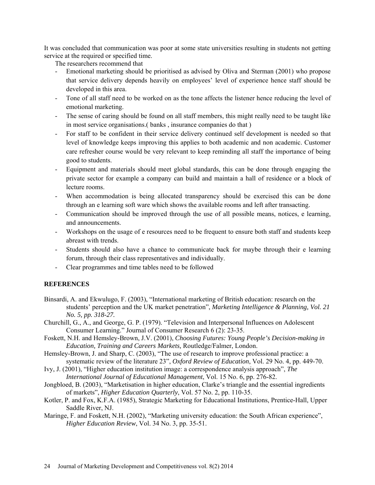It was concluded that communication was poor at some state universities resulting in students not getting service at the required or specified time.

The researchers recommend that

- Emotional marketing should be prioritised as advised by Oliva and Sterman (2001) who propose that service delivery depends heavily on employees' level of experience hence staff should be developed in this area.
- Tone of all staff need to be worked on as the tone affects the listener hence reducing the level of emotional marketing.
- The sense of caring should be found on all staff members, this might really need to be taught like in most service organisations.( banks , insurance companies do that )
- For staff to be confident in their service delivery continued self development is needed so that level of knowledge keeps improving this applies to both academic and non academic. Customer care refresher course would be very relevant to keep reminding all staff the importance of being good to students.
- Equipment and materials should meet global standards, this can be done through engaging the private sector for example a company can build and maintain a hall of residence or a block of lecture rooms.
- When accommodation is being allocated transparency should be exercised this can be done through an e learning soft ware which shows the available rooms and left after transacting.
- Communication should be improved through the use of all possible means, notices, e learning, and announcements.
- Workshops on the usage of e resources need to be frequent to ensure both staff and students keep abreast with trends.
- Students should also have a chance to communicate back for maybe through their e learning forum, through their class representatives and individually.
- Clear programmes and time tables need to be followed

# **REFERENCES**

- Binsardi, A. and Ekwulugo, F. (2003), "International marketing of British education: research on the students' perception and the UK market penetration", *Marketing Intelligence & Planning, Vol. 21 No. 5, pp. 318-27.*
- Churchill, G., A., and George, G. P. (1979). "Television and Interpersonal Influences on Adolescent Consumer Learning." Journal of Consumer Research 6 (2): 23-35.
- Foskett, N.H. and Hemsley-Brown, J.V. (2001), *Choosing Futures: Young People's Decision-making in Education, Training and Careers Markets,* Routledge/Falmer, London.
- Hemsley-Brown, J. and Sharp, C. (2003), "The use of research to improve professional practice: a systematic review of the literature 23", *Oxford Review of Education*, Vol. 29 No. 4, pp. 449-70.
- Ivy, J. (2001), "Higher education institution image: a correspondence analysis approach", *The International Journal of Educational Management*, Vol. 15 No. 6, pp. 276-82.
- Jongbloed, B. (2003), "Marketisation in higher education, Clarke's triangle and the essential ingredients of markets", *Higher Education Quarterly*, Vol. 57 No. 2, pp. 110-35.
- Kotler, P. and Fox, K.F.A. (1985), Strategic Marketing for Educational Institutions, Prentice-Hall, Upper Saddle River, NJ.
- Maringe, F. and Foskett, N.H. (2002), "Marketing university education: the South African experience", *Higher Education Review*, Vol. 34 No. 3, pp. 35-51.